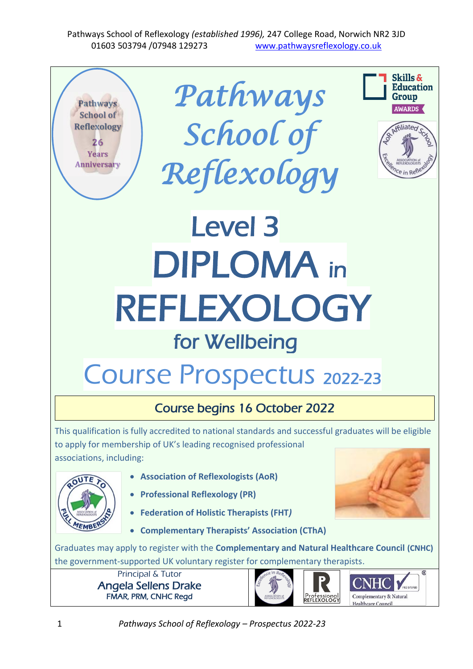

1 *Pathways School of Reflexology – Prospectus 2022-23*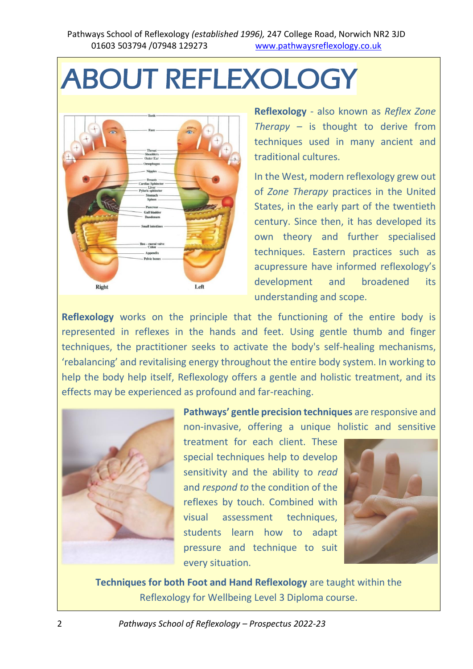# ABOUT REFLEXOLOGY



**Reflexology** - also known as *Reflex Zone Therapy –* is thought to derive from techniques used in many ancient and traditional cultures.

In the West, modern reflexology grew out of *Zone Therapy* practices in the United States, in the early part of the twentieth century. Since then, it has developed its own theory and further specialised techniques. Eastern practices such as acupressure have informed reflexology's development and broadened its understanding and scope.

**Reflexology** works on the principle that the functioning of the entire body is represented in reflexes in the hands and feet. Using gentle thumb and finger techniques, the practitioner seeks to activate the body's self-healing mechanisms, 'rebalancing' and revitalising energy throughout the entire body system. In working to help the body help itself, Reflexology offers a gentle and holistic treatment, and its effects may be experienced as profound and far-reaching.



**Pathways' gentle precision techniques** are responsive and non-invasive, offering a unique holistic and sensitive

treatment for each client. These special techniques help to develop sensitivity and the ability to *read* and *respond to* the condition of the reflexes by touch. Combined with visual assessment techniques, students learn how to adapt pressure and technique to suit every situation.



**Techniques for both Foot and Hand Reflexology** are taught within the Reflexology for Wellbeing Level 3 Diploma course.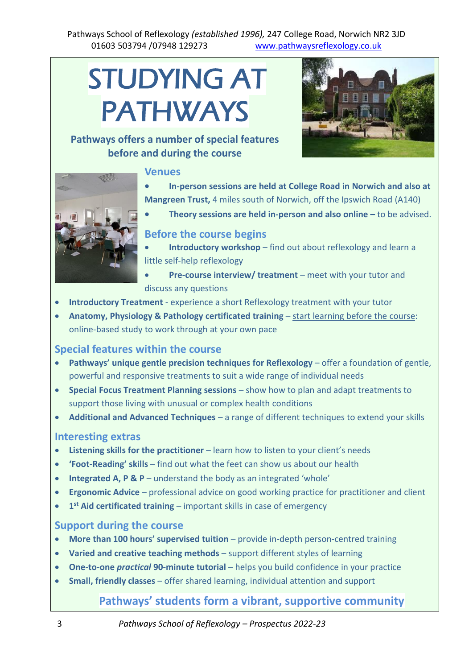#### Pathways School of Reflexology *(established 1996),* 247 College Road, Norwich NR2 3JD 01603 503794 /07948 129273 [www.pathwaysreflexology.co.uk](http://www.pathwaysreflexology.co.uk/)

# STUDYING AT PATHWAYS

#### **Pathways offers a number of special features before and during the course**

#### **Venues**





- **In-person sessions are held at College Road in Norwich and also at Mangreen Trust,** 4 miles south of Norwich, off the Ipswich Road (A140)
	- **Theory sessions are held in-person and also online –** to be advised.

#### **Before the course begins**

- **Introductory workshop** find out about reflexology and learn a little self-help reflexology
- **Pre-course interview/ treatment** meet with your tutor and discuss any questions
- **Introductory Treatment** experience a short Reflexology treatment with your tutor
- **Anatomy, Physiology & Pathology certificated training**  start learning before the course: online-based study to work through at your own pace

#### **Special features within the course**

- **Pathways' unique gentle precision techniques for Reflexology** offer a foundation of gentle, powerful and responsive treatments to suit a wide range of individual needs
- **Special Focus Treatment Planning sessions**  show how to plan and adapt treatments to support those living with unusual or complex health conditions
- **Additional and Advanced Techniques**  a range of different techniques to extend your skills

#### **Interesting extras**

- **Listening skills for the practitioner** learn how to listen to your client's needs
- **'Foot-Reading' skills**  find out what the feet can show us about our health
- **Integrated A, P & P**  understand the body as an integrated 'whole'
- **Ergonomic Advice**  professional advice on good working practice for practitioner and client
- **1 st Aid certificated training**  important skills in case of emergency

#### **Support during the course**

- **More than 100 hours' supervised tuition** provide in-depth person-centred training
- **Varied and creative teaching methods**  support different styles of learning
- **One-to-one** *practical* **90-minute tutorial**  helps you build confidence in your practice
- **Small, friendly classes** offer shared learning, individual attention and support

#### **Pathways' students form a vibrant, supportive community**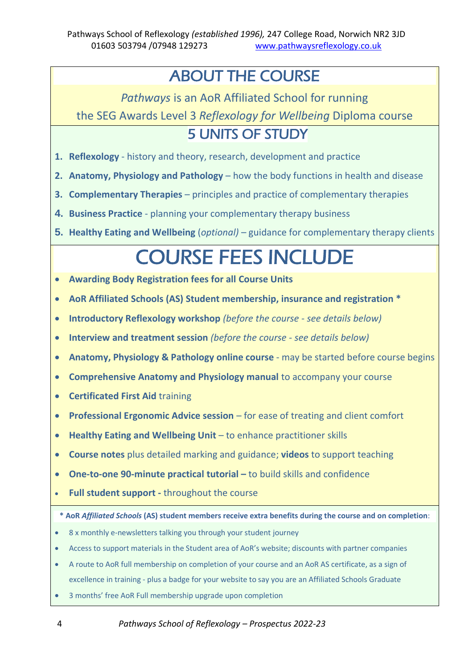# ABOUT THE COURSE

*Pathways* is an AoR Affiliated School for running

the SEG Awards Level 3 *Reflexology for Wellbeing* Diploma course

### 5 UNITS OF STUDY

- **1. Reflexology**  history and theory, research, development and practice
- **2. Anatomy, Physiology and Pathology**  how the body functions in health and disease
- **3. Complementary Therapies**  principles and practice of complementary therapies
- **4. Business Practice**  planning your complementary therapy business
- **5. Healthy Eating and Wellbeing** (*optional)* guidance for complementary therapy clients

# COURSE FEES INCLUDE

- **Awarding Body Registration fees for all Course Units**
- **AoR Affiliated Schools (AS) Student membership, insurance and registration \***
- **Introductory Reflexology workshop** *(before the course - see details below)*
- **Interview and treatment session** *(before the course - see details below)*
- **Anatomy, Physiology & Pathology online course**  may be started before course begins
- **Comprehensive Anatomy and Physiology manual** to accompany your course
- **Certificated First Aid** training
- **Professional Ergonomic Advice session**  for ease of treating and client comfort
- **Healthy Eating and Wellbeing Unit**  to enhance practitioner skills
- **Course notes** plus detailed marking and guidance; **videos** to support teaching
- **One-to-one 90-minute practical tutorial –** to build skills and confidence
- **Full student support -** throughout the course

#### **\* AoR** *Affiliated Schools* **(AS) student members receive extra benefits during the course and on completion**:

- 8 x monthly e-newsletters talking you through your student journey
- Access to support materials in the Student area of AoR's website; discounts with partner companies
- A route to AoR full membership on completion of your course and an AoR AS certificate, as a sign of excellence in training - plus a badge for your website to say you are an Affiliated Schools Graduate
- 3 months' free AoR Full membership upgrade upon completion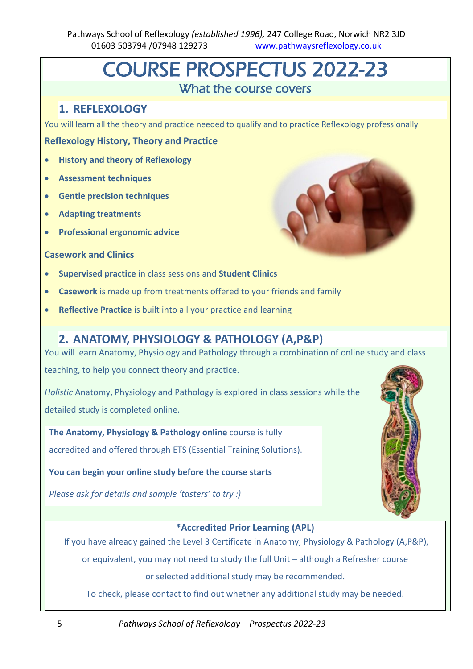# COURSE PROSPECTUS 2022-23 What the course covers

#### **1. REFLEXOLOGY**

You will learn all the theory and practice needed to qualify and to practice Reflexology professionally

#### **Reflexology History, Theory and Practice**

- **History and theory of Reflexology**
- **Assessment techniques**
- **Gentle precision techniques**
- **Adapting treatments**
- **Professional ergonomic advice**

#### **Casework and Clinics**

- **Supervised practice** in class sessions and **Student Clinics**
- **Casework** is made up from treatments offered to your friends and family
- **Reflective Practice** is built into all your practice and learning

#### **2. ANATOMY, PHYSIOLOGY & PATHOLOGY (A,P&P)**

You will learn Anatomy, Physiology and Pathology through a combination of online study and class

teaching, to help you connect theory and practice.

*Holistic* Anatomy, Physiology and Pathology is explored in class sessions while the detailed study is completed online.

**The Anatomy, Physiology & Pathology online** course is fully accredited and offered through ETS (Essential Training Solutions).

**You can begin your online study before the course starts** 

*Please ask for details and sample 'tasters' to try :)*



#### **\*Accredited Prior Learning (APL)**

If you have already gained the Level 3 Certificate in Anatomy, Physiology & Pathology (A,P&P),

or equivalent, you may not need to study the full Unit – although a Refresher course

or selected additional study may be recommended.

To check, please contact to find out whether any additional study may be needed.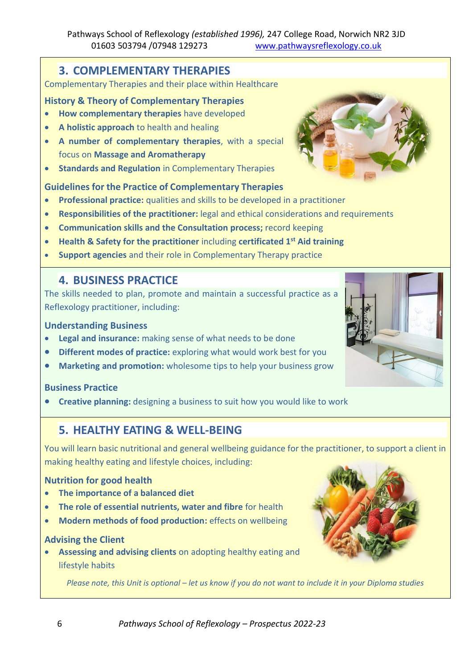#### **3. COMPLEMENTARY THERAPIES**

Complementary Therapies and their place within Healthcare

#### **History & Theory of Complementary Therapies**

- **How complementary therapies** have developed
- **A holistic approach** to health and healing
- **A number of complementary therapies**, with a special focus on **Massage and Aromatherapy**
- **Standards and Regulation** in Complementary Therapies

#### **Guidelines for the Practice of Complementary Therapies**

- **Professional practice:** qualities and skills to be developed in a practitioner
- **Responsibilities of the practitioner:** legal and ethical considerations and requirements
- **Communication skills and the Consultation process;** record keeping
- **Health & Safety for the practitioner** including **certificated 1st Aid training**
- **Support agencies** and their role in Complementary Therapy practice

#### **4. BUSINESS PRACTICE**

The skills needed to plan, promote and maintain a successful practice as a Reflexology practitioner, including:

#### **Understanding Business**

- Legal and insurance: making sense of what needs to be done
- **Different modes of practice:** exploring what would work best for you
- **Marketing and promotion:** wholesome tips to help your business grow

#### **Business Practice**

• **Creative planning:** designing a business to suit how you would like to work

#### **5. HEALTHY EATING & WELL-BEING**

You will learn basic nutritional and general wellbeing guidance for the practitioner, to support a client in making healthy eating and lifestyle choices, including:

#### **Nutrition for good health**

- **The importance of a balanced diet**
- **The role of essential nutrients, water and fibre** for health
- **Modern methods of food production:** effects on wellbeing

#### **Advising the Client**

• **Assessing and advising clients** on adopting healthy eating and lifestyle habits

*Please note, this Unit is optional – let us know if you do not want to include it in your Diploma studies*





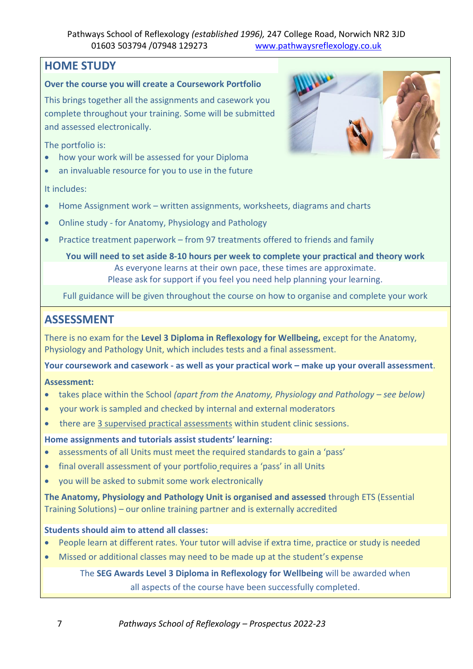#### **HOME STUDY**

#### **Over the course you will create a Coursework Portfolio**

This brings together all the assignments and casework you complete throughout your training. Some will be submitted and assessed electronically.

The portfolio is:

- how your work will be assessed for your Diploma
- an invaluable resource for you to use in the future



It includes:

- Home Assignment work written assignments, worksheets, diagrams and charts
- Online study for Anatomy, Physiology and Pathology
- Practice treatment paperwork from 97 treatments offered to friends and family

**You will need to set aside 8-10 hours per week to complete your practical and theory work** As everyone learns at their own pace, these times are approximate. Please ask for support if you feel you need help planning your learning.

Full guidance will be given throughout the course on how to organise and complete your work

#### **ASSESSMENT**

There is no exam for the **Level 3 Diploma in Reflexology for Wellbeing,** except for the Anatomy, Physiology and Pathology Unit, which includes tests and a final assessment.

**Your coursework and casework - as well as your practical work – make up your overall assessment**.

#### **Assessment:**

- takes place within the School *(apart from the Anatomy, Physiology and Pathology – see below)*
- your work is sampled and checked by internal and external moderators
- there are 3 supervised practical assessments within student clinic sessions.

#### **Home assignments and tutorials assist students' learning:**

- assessments of all Units must meet the required standards to gain a 'pass'
- final overall assessment of your portfolio requires a 'pass' in all Units
- you will be asked to submit some work electronically

**The Anatomy, Physiology and Pathology Unit is organised and assessed** through ETS (Essential Training Solutions) – our online training partner and is externally accredited

#### **Students should aim to attend all classes:**

- People learn at different rates. Your tutor will advise if extra time, practice or study is needed
- Missed or additional classes may need to be made up at the student's expense

The **SEG Awards Level 3 Diploma in Reflexology for Wellbeing** will be awarded when all aspects of the course have been successfully completed.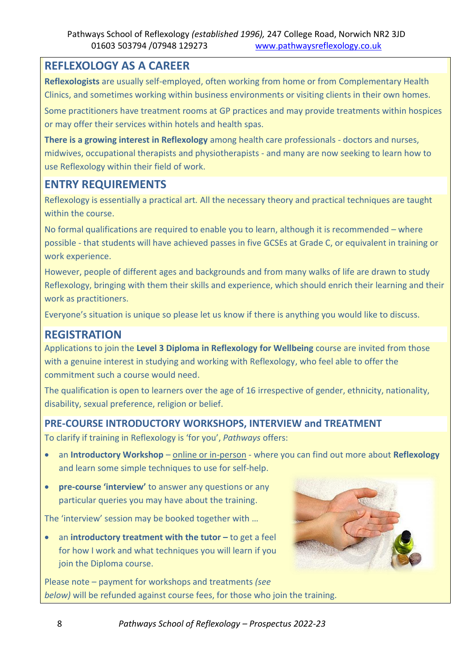#### **REFLEXOLOGY AS A CAREER**

**Reflexologists** are usually self-employed, often working from home or from Complementary Health Clinics, and sometimes working within business environments or visiting clients in their own homes.

Some practitioners have treatment rooms at GP practices and may provide treatments within hospices or may offer their services within hotels and health spas.

**There is a growing interest in Reflexology** among health care professionals - doctors and nurses, midwives, occupational therapists and physiotherapists - and many are now seeking to learn how to use Reflexology within their field of work.

#### **ENTRY REQUIREMENTS**

Reflexology is essentially a practical art*.* All the necessary theory and practical techniques are taught within the course.

No formal qualifications are required to enable you to learn, although it is recommended – where possible - that students will have achieved passes in five GCSEs at Grade C, or equivalent in training or work experience.

However, people of different ages and backgrounds and from many walks of life are drawn to study Reflexology, bringing with them their skills and experience, which should enrich their learning and their work as practitioners.

Everyone's situation is unique so please let us know if there is anything you would like to discuss.

#### **REGISTRATION**

Applications to join the **Level 3 Diploma in Reflexology for Wellbeing** course are invited from those with a genuine interest in studying and working with Reflexology, who feel able to offer the commitment such a course would need.

The qualification is open to learners over the age of 16 irrespective of gender, ethnicity, nationality, disability, sexual preference, religion or belief.

#### **PRE-COURSE INTRODUCTORY WORKSHOPS, INTERVIEW and TREATMENT**

To clarify if training in Reflexology is 'for you', *Pathways* offers:

- an **Introductory Workshop** online or in-person where you can find out more about **Reflexology**  and learn some simple techniques to use for self-help.
- **pre-course 'interview'** to answer any questions or any particular queries you may have about the training.

The 'interview' session may be booked together with …

• an **introductory treatment with the tutor** – to get a feel for how I work and what techniques you will learn if you join the Diploma course.

Please note – payment for workshops and treatments *(see below)* will be refunded against course fees, for those who join the training.



8 *Pathways School of Reflexology – Prospectus 2022-23*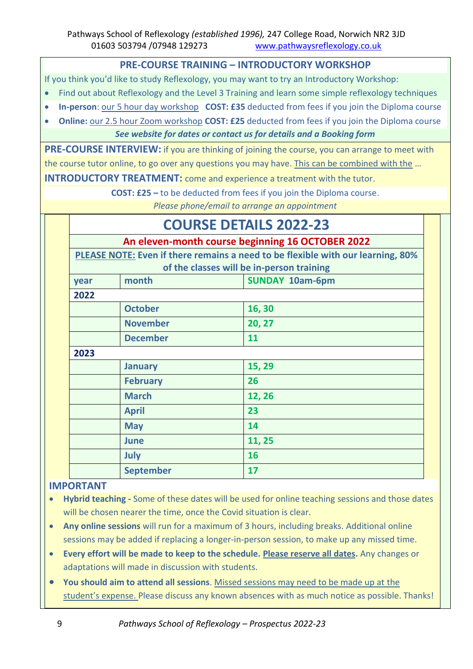#### **PRE-COURSE TRAINING – INTRODUCTORY WORKSHOP**

If you think you'd like to study Reflexology, you may want to try an Introductory Workshop:

- Find out about Reflexology and the Level 3 Training and learn some simple reflexology techniques
- **In-person**: our 5 hour day workshop **COST: £35** deducted from fees if you join the Diploma course
- **Online:** our 2.5 hour Zoom workshop **COST: £25** deducted from fees if you join the Diploma course

#### *See website for dates or contact us for details and a Booking form*

**PRE-COURSE INTERVIEW:** if you are thinking of joining the course, you can arrange to meet with the course tutor online, to go over any questions you may have. This can be combined with the …

**INTRODUCTORY TREATMENT:** come and experience a treatment with the tutor.

**COST: £25 –** to be deducted from fees if you join the Diploma course.

*Please phone/email to arrange an appointment*

# **COURSE DETAILS 2022-23**

**An eleven-month course beginning 16 OCTOBER 2022**

**PLEASE NOTE: Even if there remains a need to be flexible with our learning, 80% of the classes will be in-person training**

|      |                  | of the classes will be in person training |  |
|------|------------------|-------------------------------------------|--|
| year | month            | <b>SUNDAY 10am-6pm</b>                    |  |
| 2022 |                  |                                           |  |
|      | <b>October</b>   | 16, 30                                    |  |
|      | <b>November</b>  | 20, 27                                    |  |
|      | <b>December</b>  | 11                                        |  |
| 2023 |                  |                                           |  |
|      | <b>January</b>   | 15, 29                                    |  |
|      | <b>February</b>  | 26                                        |  |
|      | <b>March</b>     | 12, 26                                    |  |
|      | <b>April</b>     | 23                                        |  |
|      | <b>May</b>       | 14                                        |  |
|      | <b>June</b>      | 11, 25                                    |  |
|      | July             | 16                                        |  |
|      | <b>September</b> | 17                                        |  |

#### **IMPORTANT**

- **Hybrid teaching -** Some of these dates will be used for online teaching sessions and those dates will be chosen nearer the time, once the Covid situation is clear.
- **Any online sessions** will run for a maximum of 3 hours, including breaks. Additional online sessions may be added if replacing a longer-in-person session, to make up any missed time.
- **Every effort will be made to keep to the schedule. Please reserve all dates.** Any changes or adaptations will made in discussion with students.
- **You should aim to attend all sessions**. Missed sessions may need to be made up at the student's expense. Please discuss any known absences with as much notice as possible. Thanks!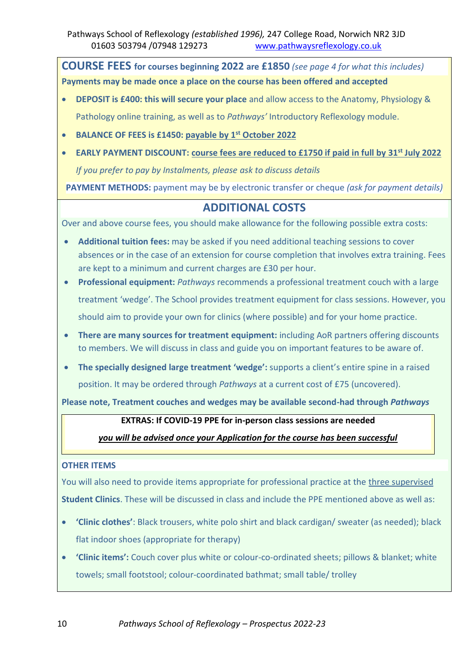**COURSE FEES for courses beginning 2022 are £1850** *(see page 4 for what this includes)* **Payments may be made once a place on the course has been offered and accepted**

- **DEPOSIT is £400: this will secure your place** and allow access to the Anatomy, Physiology & Pathology online training, as well as to *Pathways'* Introductory Reflexology module.
- **BALANCE OF FEES is £1450: payable by 1 st October 2022**
- **EARLY PAYMENT DISCOUNT: course fees are reduced to £1750 if paid in full by 31 st July 2022** *If you prefer to pay by Instalments, please ask to discuss details*

**PAYMENT METHODS:** payment may be by electronic transfer or cheque *(ask for payment details)*

#### **ADDITIONAL COSTS**

Over and above course fees, you should make allowance for the following possible extra costs:

- **Additional tuition fees:** may be asked if you need additional teaching sessions to cover absences or in the case of an extension for course completion that involves extra training. Fees are kept to a minimum and current charges are £30 per hour.
- **Professional equipment:** *Pathways* recommends a professional treatment couch with a large treatment 'wedge'. The School provides treatment equipment for class sessions. However, you should aim to provide your own for clinics (where possible) and for your home practice.
- **There are many sources for treatment equipment:** including AoR partners offering discounts to members. We will discuss in class and guide you on important features to be aware of.
- **The specially designed large treatment 'wedge':** supports a client's entire spine in a raised position. It may be ordered through *Pathways* at a current cost of £75 (uncovered).

**Please note, Treatment couches and wedges may be available second-had through** *Pathways*

#### **EXTRAS: If COVID-19 PPE for in-person class sessions are needed**

#### *you will be advised once your Application for the course has been successful*

#### **OTHER ITEMS**

You will also need to provide items appropriate for professional practice at the three supervised **Student Clinics**. These will be discussed in class and include the PPE mentioned above as well as:

- **'Clinic clothes'**: Black trousers, white polo shirt and black cardigan/ sweater (as needed); black flat indoor shoes (appropriate for therapy)
- **'Clinic items':** Couch cover plus white or colour-co-ordinated sheets; pillows & blanket; white towels; small footstool; colour-coordinated bathmat; small table/ trolley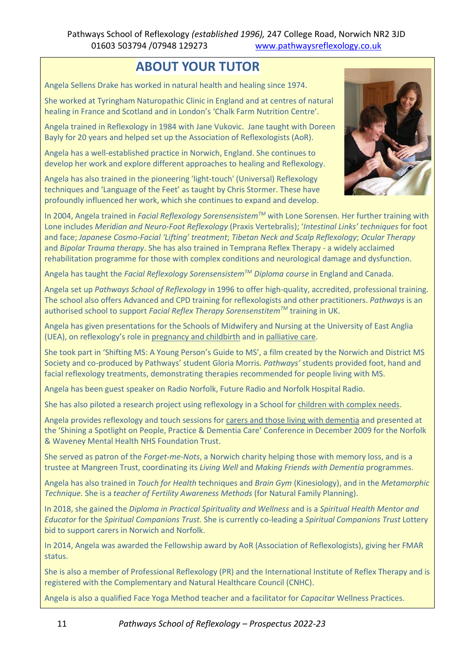### **ABOUT YOUR TUTOR**

Angela Sellens Drake has worked in natural health and healing since 1974.

She worked at Tyringham Naturopathic Clinic in England and at centres of natural healing in France and Scotland and in London's 'Chalk Farm Nutrition Centre'.

Angela trained in Reflexology in 1984 with Jane Vukovic. Jane taught with Doreen Bayly for 20 years and helped set up the Association of Reflexologists (AoR).

Angela has a well-established practice in Norwich, England. She continues to develop her work and explore different approaches to healing and Reflexology.

Angela has also trained in the pioneering 'light-touch' (Universal) Reflexology techniques and 'Language of the Feet' as taught by Chris Stormer. These have profoundly influenced her work, which she continues to expand and develop.



In 2004, Angela trained in *Facial Reflexology SorensensistemTM* with Lone Sorensen. Her further training with Lone includes *Meridian and Neuro-Foot Reflexology* (Praxis Vertebralis); '*Intestinal Links' techniques* for foot and face; *Japanese Cosmo-Facial 'Lifting' treatment*; *Tibetan Neck and Scalp Reflexology*; *Ocular Therapy* and *Bipolar Trauma therapy*. She has also trained in Temprana Reflex Therapy - a widely acclaimed rehabilitation programme for those with complex conditions and neurological damage and dysfunction.

Angela has taught the *Facial Reflexology SorensensistemTM Diploma course* in England and Canada.

Angela set up *Pathways School of Reflexology* in 1996 to offer high-quality, accredited, professional training. The school also offers Advanced and CPD training for reflexologists and other practitioners. *Pathways* is an authorised school to support *Facial Reflex Therapy SorensenstitemTM* training in UK.

Angela has given presentations for the Schools of Midwifery and Nursing at the University of East Anglia (UEA), on reflexology's role in pregnancy and childbirth and in palliative care.

She took part in 'Shifting MS: A Young Person's Guide to MS', a film created by the Norwich and District MS Society and co-produced by Pathways' student Gloria Morris. *Pathways'* students provided foot, hand and facial reflexology treatments, demonstrating therapies recommended for people living with MS.

Angela has been guest speaker on Radio Norfolk, Future Radio and Norfolk Hospital Radio.

She has also piloted a research project using reflexology in a School for children with complex needs.

Angela provides reflexology and touch sessions for carers and those living with dementia and presented at the 'Shining a Spotlight on People, Practice & Dementia Care' Conference in December 2009 for the Norfolk & Waveney Mental Health NHS Foundation Trust.

She served as patron of the *Forget-me-Nots*, a Norwich charity helping those with memory loss, and is a trustee at Mangreen Trust, coordinating its *Living Well* and *Making Friends with Dementia* programmes.

Angela has also trained in *Touch for Health* techniques and *Brain Gym* (Kinesiology), and in the *Metamorphic Technique.* She is a *teacher of Fertility Awareness Methods* (for Natural Family Planning).

In 2018, she gained the *Diploma in Practical Spirituality and Wellness* and is a *Spiritual Health Mentor and Educator* for the *Spiritual Companions Trust.* She is currently co-leading a *Spiritual Companions Trust* Lottery bid to support carers in Norwich and Norfolk.

In 2014, Angela was awarded the Fellowship award by AoR (Association of Reflexologists), giving her FMAR status.

She is also a member of Professional Reflexology (PR) and the International Institute of Reflex Therapy and is registered with the Complementary and Natural Healthcare Council (CNHC).

Angela is also a qualified Face Yoga Method teacher and a facilitator for *Capacitar* Wellness Practices.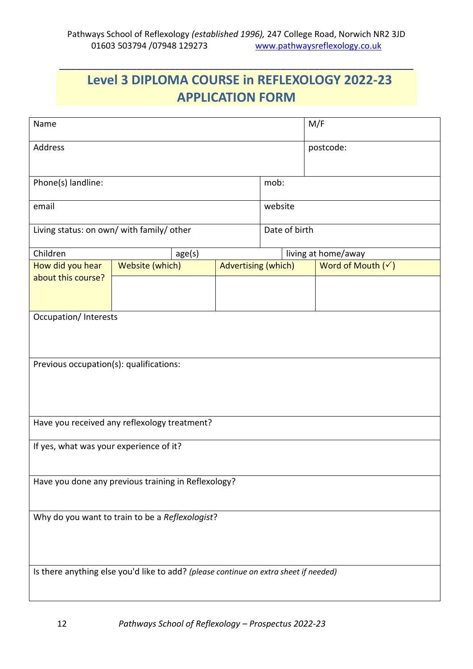\_\_\_\_\_\_\_\_\_\_\_\_\_\_\_\_\_\_\_\_\_\_\_\_\_\_\_\_\_\_\_\_\_\_\_\_\_\_\_\_\_\_\_\_\_\_\_\_\_\_\_\_\_\_\_\_\_\_\_\_\_\_\_\_

## **Level 3 DIPLOMA COURSE in REFLEXOLOGY 2022-23 APPLICATION FORM**

| Name                                                                                 |                 |        | M/F                        |  |                     |                              |  |  |  |
|--------------------------------------------------------------------------------------|-----------------|--------|----------------------------|--|---------------------|------------------------------|--|--|--|
| Address                                                                              |                 |        |                            |  |                     | postcode:                    |  |  |  |
| Phone(s) landline:                                                                   |                 | mob:   |                            |  |                     |                              |  |  |  |
| email                                                                                |                 |        | website                    |  |                     |                              |  |  |  |
| Living status: on own/ with family/ other                                            |                 |        | Date of birth              |  |                     |                              |  |  |  |
| Children                                                                             |                 | age(s) |                            |  | living at home/away |                              |  |  |  |
| How did you hear                                                                     | Website (which) |        | <b>Advertising (which)</b> |  |                     | Word of Mouth $(\checkmark)$ |  |  |  |
| about this course?                                                                   |                 |        |                            |  |                     |                              |  |  |  |
| <b>Occupation/Interests</b>                                                          |                 |        |                            |  |                     |                              |  |  |  |
| Previous occupation(s): qualifications:                                              |                 |        |                            |  |                     |                              |  |  |  |
| Have you received any reflexology treatment?                                         |                 |        |                            |  |                     |                              |  |  |  |
| If yes, what was your experience of it?                                              |                 |        |                            |  |                     |                              |  |  |  |
| Have you done any previous training in Reflexology?                                  |                 |        |                            |  |                     |                              |  |  |  |
| Why do you want to train to be a Reflexologist?                                      |                 |        |                            |  |                     |                              |  |  |  |
| Is there anything else you'd like to add? (please continue on extra sheet if needed) |                 |        |                            |  |                     |                              |  |  |  |

12 *Pathways School of Reflexology – Prospectus 2022-23*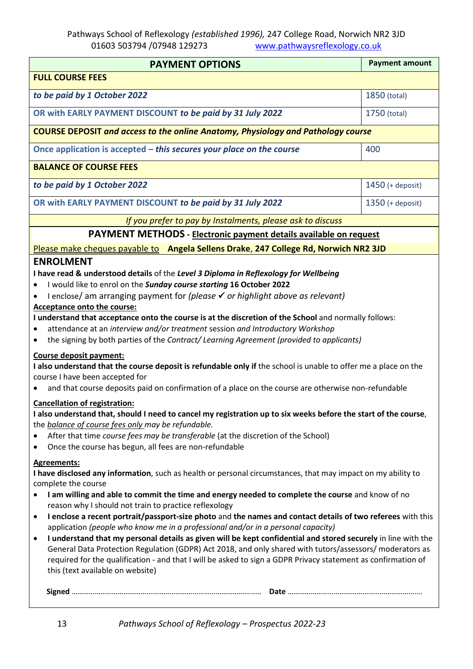Pathways School of Reflexology *(established 1996),* 247 College Road, Norwich NR2 3JD 01603 503794 /07948 129273 [www.pathwaysreflexology.co.uk](http://www.pathwaysreflexology.co.uk/)

| <b>PAYMENT OPTIONS</b>                                                                                                                                    | <b>Payment amount</b> |  |  |  |  |  |  |
|-----------------------------------------------------------------------------------------------------------------------------------------------------------|-----------------------|--|--|--|--|--|--|
| <b>FULL COURSE FEES</b>                                                                                                                                   |                       |  |  |  |  |  |  |
| to be paid by 1 October 2022                                                                                                                              | 1850 (total)          |  |  |  |  |  |  |
|                                                                                                                                                           |                       |  |  |  |  |  |  |
| OR with EARLY PAYMENT DISCOUNT to be paid by 31 July 2022                                                                                                 | 1750 (total)          |  |  |  |  |  |  |
| <b>COURSE DEPOSIT and access to the online Anatomy, Physiology and Pathology course</b>                                                                   |                       |  |  |  |  |  |  |
| Once application is accepted $-$ this secures your place on the course                                                                                    | 400                   |  |  |  |  |  |  |
| <b>BALANCE OF COURSE FEES</b>                                                                                                                             |                       |  |  |  |  |  |  |
| to be paid by 1 October 2022                                                                                                                              | 1450 (+ deposit)      |  |  |  |  |  |  |
| OR with EARLY PAYMENT DISCOUNT to be paid by 31 July 2022                                                                                                 | $1350$ (+ deposit)    |  |  |  |  |  |  |
| If you prefer to pay by Instalments, please ask to discuss                                                                                                |                       |  |  |  |  |  |  |
| PAYMENT METHODS - Electronic payment details available on request                                                                                         |                       |  |  |  |  |  |  |
| Please make cheques payable to Angela Sellens Drake, 247 College Rd, Norwich NR2 3JD                                                                      |                       |  |  |  |  |  |  |
| <b>ENROLMENT</b>                                                                                                                                          |                       |  |  |  |  |  |  |
| I have read & understood details of the Level 3 Diploma in Reflexology for Wellbeing                                                                      |                       |  |  |  |  |  |  |
| I would like to enrol on the Sunday course starting 16 October 2022                                                                                       |                       |  |  |  |  |  |  |
| I enclose/ am arranging payment for (please $\checkmark$ or highlight above as relevant)                                                                  |                       |  |  |  |  |  |  |
| <b>Acceptance onto the course:</b>                                                                                                                        |                       |  |  |  |  |  |  |
| I understand that acceptance onto the course is at the discretion of the School and normally follows:                                                     |                       |  |  |  |  |  |  |
| attendance at an interview and/or treatment session and Introductory Workshop                                                                             |                       |  |  |  |  |  |  |
| the signing by both parties of the Contract/Learning Agreement (provided to applicants)                                                                   |                       |  |  |  |  |  |  |
| Course deposit payment:                                                                                                                                   |                       |  |  |  |  |  |  |
| I also understand that the course deposit is refundable only if the school is unable to offer me a place on the                                           |                       |  |  |  |  |  |  |
| course I have been accepted for                                                                                                                           |                       |  |  |  |  |  |  |
| and that course deposits paid on confirmation of a place on the course are otherwise non-refundable                                                       |                       |  |  |  |  |  |  |
| <b>Cancellation of registration:</b>                                                                                                                      |                       |  |  |  |  |  |  |
| I also understand that, should I need to cancel my registration up to six weeks before the start of the course,                                           |                       |  |  |  |  |  |  |
| the <b>balance of course fees only</b> may be refundable.                                                                                                 |                       |  |  |  |  |  |  |
| After that time course fees may be transferable (at the discretion of the School)                                                                         |                       |  |  |  |  |  |  |
| Once the course has begun, all fees are non-refundable                                                                                                    |                       |  |  |  |  |  |  |
| <b>Agreements:</b>                                                                                                                                        |                       |  |  |  |  |  |  |
| I have disclosed any information, such as health or personal circumstances, that may impact on my ability to                                              |                       |  |  |  |  |  |  |
| complete the course                                                                                                                                       |                       |  |  |  |  |  |  |
| I am willing and able to commit the time and energy needed to complete the course and know of no<br>reason why I should not train to practice reflexology |                       |  |  |  |  |  |  |
| I enclose a recent portrait/passport-size photo and the names and contact details of two referees with this                                               |                       |  |  |  |  |  |  |
| application (people who know me in a professional and/or in a personal capacity)                                                                          |                       |  |  |  |  |  |  |
| I understand that my personal details as given will be kept confidential and stored securely in line with the<br>$\bullet$                                |                       |  |  |  |  |  |  |
| General Data Protection Regulation (GDPR) Act 2018, and only shared with tutors/assessors/ moderators as                                                  |                       |  |  |  |  |  |  |
| required for the qualification - and that I will be asked to sign a GDPR Privacy statement as confirmation of                                             |                       |  |  |  |  |  |  |
| this (text available on website)                                                                                                                          |                       |  |  |  |  |  |  |
|                                                                                                                                                           |                       |  |  |  |  |  |  |
|                                                                                                                                                           |                       |  |  |  |  |  |  |